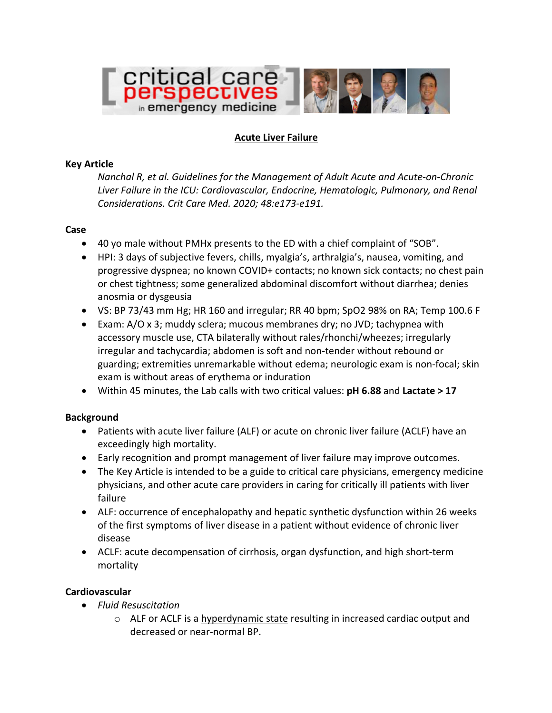

## **Acute Liver Failure**

#### **Key Article**

*Nanchal R, et al. Guidelines for the Management of Adult Acute and Acute-on-Chronic* Liver Failure in the ICU: Cardiovascular, Endocrine, Hematologic, Pulmonary, and Renal *Considerations. Crit Care Med. 2020; 48:e173-e191.*

#### **Case**

- 40 yo male without PMHx presents to the ED with a chief complaint of "SOB".
- HPI: 3 days of subjective fevers, chills, myalgia's, arthralgia's, nausea, vomiting, and progressive dyspnea; no known COVID+ contacts; no known sick contacts; no chest pain or chest tightness; some generalized abdominal discomfort without diarrhea; denies anosmia or dysgeusia
- VS: BP 73/43 mm Hg; HR 160 and irregular; RR 40 bpm; SpO2 98% on RA; Temp 100.6 F
- Exam:  $A/O \times 3$ ; muddy sclera; mucous membranes dry; no JVD; tachypnea with accessory muscle use, CTA bilaterally without rales/rhonchi/wheezes; irregularly irregular and tachycardia; abdomen is soft and non-tender without rebound or guarding; extremities unremarkable without edema; neurologic exam is non-focal; skin exam is without areas of erythema or induration
- Within 45 minutes, the Lab calls with two critical values: pH 6.88 and Lactate > 17

### **Background**

- Patients with acute liver failure (ALF) or acute on chronic liver failure (ACLF) have an exceedingly high mortality.
- Early recognition and prompt management of liver failure may improve outcomes.
- The Key Article is intended to be a guide to critical care physicians, emergency medicine physicians, and other acute care providers in caring for critically ill patients with liver failure
- ALF: occurrence of encephalopathy and hepatic synthetic dysfunction within 26 weeks of the first symptoms of liver disease in a patient without evidence of chronic liver disease
- ACLF: acute decompensation of cirrhosis, organ dysfunction, and high short-term mortality

### **Cardiovascular**

- *Fluid Resuscitation*
	- $\circ$  ALF or ACLF is a hyperdynamic state resulting in increased cardiac output and decreased or near-normal BP.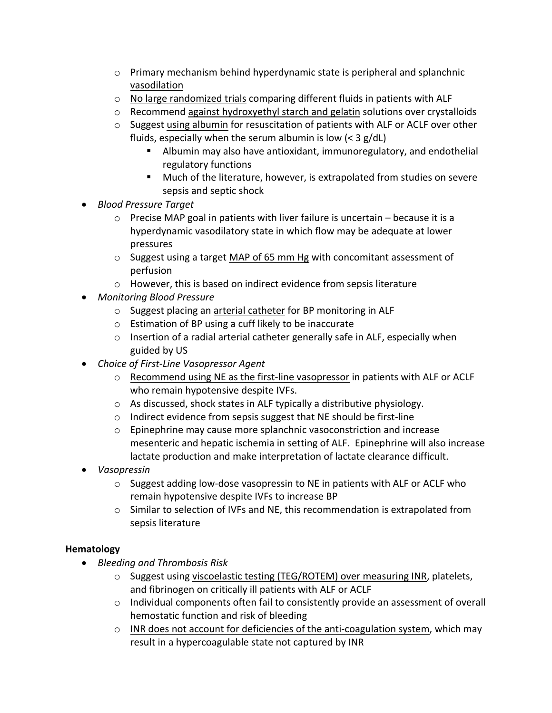- $\circ$  Primary mechanism behind hyperdynamic state is peripheral and splanchnic vasodilation
- $\circ$  No large randomized trials comparing different fluids in patients with ALF
- $\circ$  Recommend against hydroxyethyl starch and gelatin solutions over crystalloids
- $\circ$  Suggest using albumin for resuscitation of patients with ALF or ACLF over other fluids, especially when the serum albumin is low  $(<$  3 g/dL)
	- Albumin may also have antioxidant, immunoregulatory, and endothelial regulatory functions
	- Much of the literature, however, is extrapolated from studies on severe sepsis and septic shock
- *Blood Pressure Target*
	- $\circ$  Precise MAP goal in patients with liver failure is uncertain because it is a hyperdynamic vasodilatory state in which flow may be adequate at lower pressures
	- $\circ$  Suggest using a target MAP of 65 mm Hg with concomitant assessment of perfusion
	- $\circ$  However, this is based on indirect evidence from sepsis literature
- *Monitoring Blood Pressure*
	- $\circ$  Suggest placing an arterial catheter for BP monitoring in ALF
	- $\circ$  Estimation of BP using a cuff likely to be inaccurate
	- $\circ$  Insertion of a radial arterial catheter generally safe in ALF, especially when guided by US
- *Choice of First-Line Vasopressor Agent*
	- $\circ$  Recommend using NE as the first-line vasopressor in patients with ALF or ACLF who remain hypotensive despite IVFs.
	- $\circ$  As discussed, shock states in ALF typically a distributive physiology.
	- $\circ$  Indirect evidence from sepsis suggest that NE should be first-line
	- $\circ$  Epinephrine may cause more splanchnic vasoconstriction and increase mesenteric and hepatic ischemia in setting of ALF. Epinephrine will also increase lactate production and make interpretation of lactate clearance difficult.
- *Vasopressin*
	- $\circ$  Suggest adding low-dose vasopressin to NE in patients with ALF or ACLF who remain hypotensive despite IVFs to increase BP
	- $\circ$  Similar to selection of IVFs and NE, this recommendation is extrapolated from sepsis literature

# **Hematology**

- *Bleeding and Thrombosis Risk*
	- $\circ$  Suggest using viscoelastic testing (TEG/ROTEM) over measuring INR, platelets, and fibrinogen on critically ill patients with ALF or ACLF
	- $\circ$  Individual components often fail to consistently provide an assessment of overall hemostatic function and risk of bleeding
	- $\circ$  INR does not account for deficiencies of the anti-coagulation system, which may result in a hypercoagulable state not captured by INR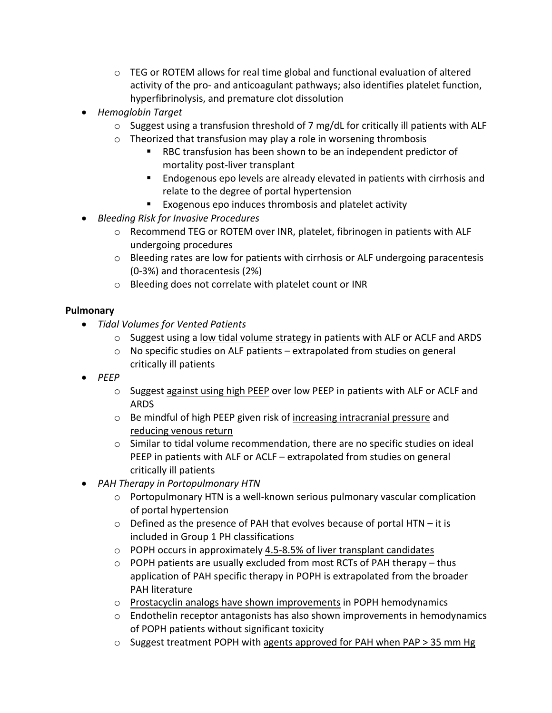- $\circ$  TEG or ROTEM allows for real time global and functional evaluation of altered activity of the pro- and anticoagulant pathways; also identifies platelet function, hyperfibrinolysis, and premature clot dissolution
- *Hemoglobin Target*
	- $\circ$  Suggest using a transfusion threshold of 7 mg/dL for critically ill patients with ALF
	- $\circ$  Theorized that transfusion may play a role in worsening thrombosis
		- RBC transfusion has been shown to be an independent predictor of mortality post-liver transplant
		- Endogenous epo levels are already elevated in patients with cirrhosis and relate to the degree of portal hypertension
		- Exogenous epo induces thrombosis and platelet activity
- *Bleeding Risk for Invasive Procedures*
	- $\circ$  Recommend TEG or ROTEM over INR, platelet, fibrinogen in patients with ALF undergoing procedures
	- $\circ$  Bleeding rates are low for patients with cirrhosis or ALF undergoing paracentesis  $(0-3%)$  and thoracentesis  $(2%)$
	- o Bleeding does not correlate with platelet count or INR

## **Pulmonary**

- *Tidal Volumes for Vented Patients*
	- $\circ$  Suggest using a low tidal volume strategy in patients with ALF or ACLF and ARDS
	- $\circ$  No specific studies on ALF patients extrapolated from studies on general critically ill patients
- *PEEP*
	- $\circ$  Suggest against using high PEEP over low PEEP in patients with ALF or ACLF and ARDS
	- $\circ$  Be mindful of high PEEP given risk of increasing intracranial pressure and reducing venous return
	- $\circ$  Similar to tidal volume recommendation, there are no specific studies on ideal PEEP in patients with ALF or ACLF  $-$  extrapolated from studies on general critically ill patients
- *PAH Therapy in Portopulmonary HTN* 
	- $\circ$  Portopulmonary HTN is a well-known serious pulmonary vascular complication of portal hypertension
	- $\circ$  Defined as the presence of PAH that evolves because of portal HTN it is included in Group 1 PH classifications
	- $\circ$  POPH occurs in approximately 4.5-8.5% of liver transplant candidates
	- $\circ$  POPH patients are usually excluded from most RCTs of PAH therapy thus application of PAH specific therapy in POPH is extrapolated from the broader PAH literature
	- $\circ$  Prostacyclin analogs have shown improvements in POPH hemodynamics
	- $\circ$  Endothelin receptor antagonists has also shown improvements in hemodynamics of POPH patients without significant toxicity
	- $\circ$  Suggest treatment POPH with agents approved for PAH when PAP > 35 mm Hg